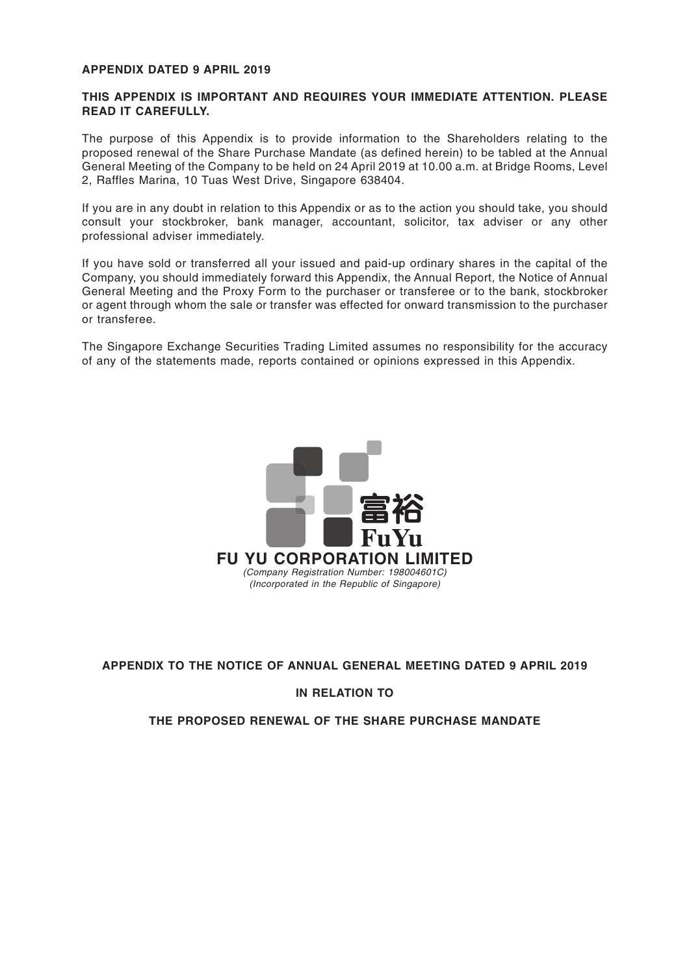### **APPENDIX DATED 9 APRIL 2019**

### **THIS APPENDIX IS IMPORTANT AND REQUIRES YOUR IMMEDIATE ATTENTION. PLEASE READ IT CAREFULLY.**

The purpose of this Appendix is to provide information to the Shareholders relating to the proposed renewal of the Share Purchase Mandate (as defined herein) to be tabled at the Annual General Meeting of the Company to be held on 24 April 2019 at 10.00 a.m. at Bridge Rooms, Level 2, Raffles Marina, 10 Tuas West Drive, Singapore 638404.

If you are in any doubt in relation to this Appendix or as to the action you should take, you should consult your stockbroker, bank manager, accountant, solicitor, tax adviser or any other professional adviser immediately.

If you have sold or transferred all your issued and paid-up ordinary shares in the capital of the Company, you should immediately forward this Appendix, the Annual Report, the Notice of Annual General Meeting and the Proxy Form to the purchaser or transferee or to the bank, stockbroker or agent through whom the sale or transfer was effected for onward transmission to the purchaser or transferee.

The Singapore Exchange Securities Trading Limited assumes no responsibility for the accuracy of any of the statements made, reports contained or opinions expressed in this Appendix.



### **APPENDIX TO THE NOTICE OF ANNUAL GENERAL MEETING DATED 9 APRIL 2019**

#### **IN RELATION TO**

### **THE PROPOSED RENEWAL OF THE SHARE PURCHASE MANDATE**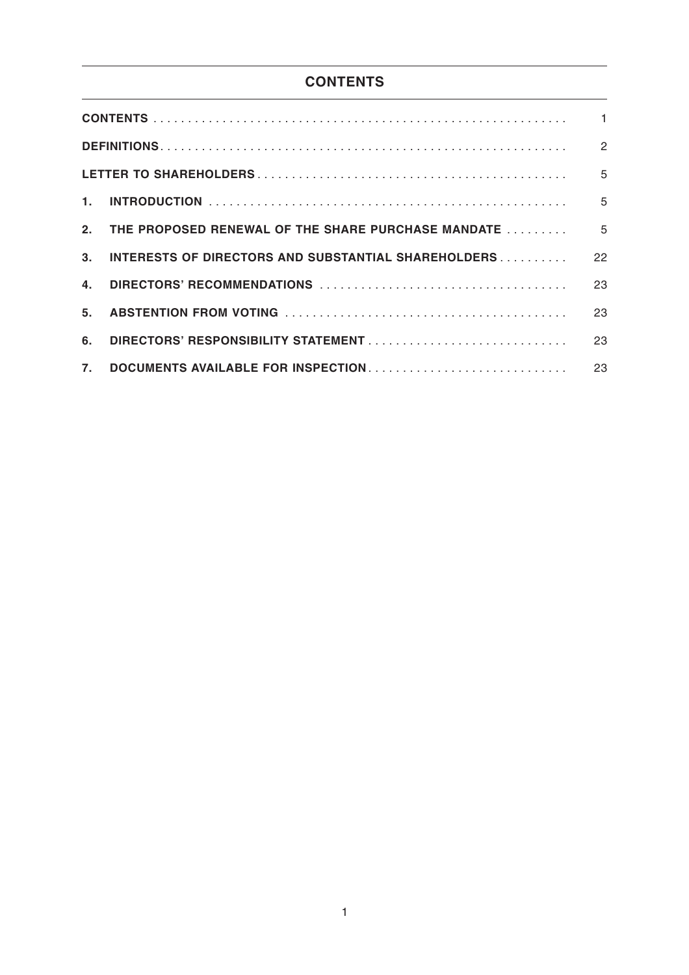# **CONTENTS**

| $1_{-}$        |                                                     |    |
|----------------|-----------------------------------------------------|----|
|                |                                                     |    |
| 3 <sub>1</sub> | INTERESTS OF DIRECTORS AND SUBSTANTIAL SHAREHOLDERS | 22 |
| 4.             |                                                     | 23 |
| 5 <sub>1</sub> |                                                     | 23 |
| 6.             |                                                     | 23 |
| $\mathbf{7}$ . | DOCUMENTS AVAILABLE FOR INSPECTION                  | 23 |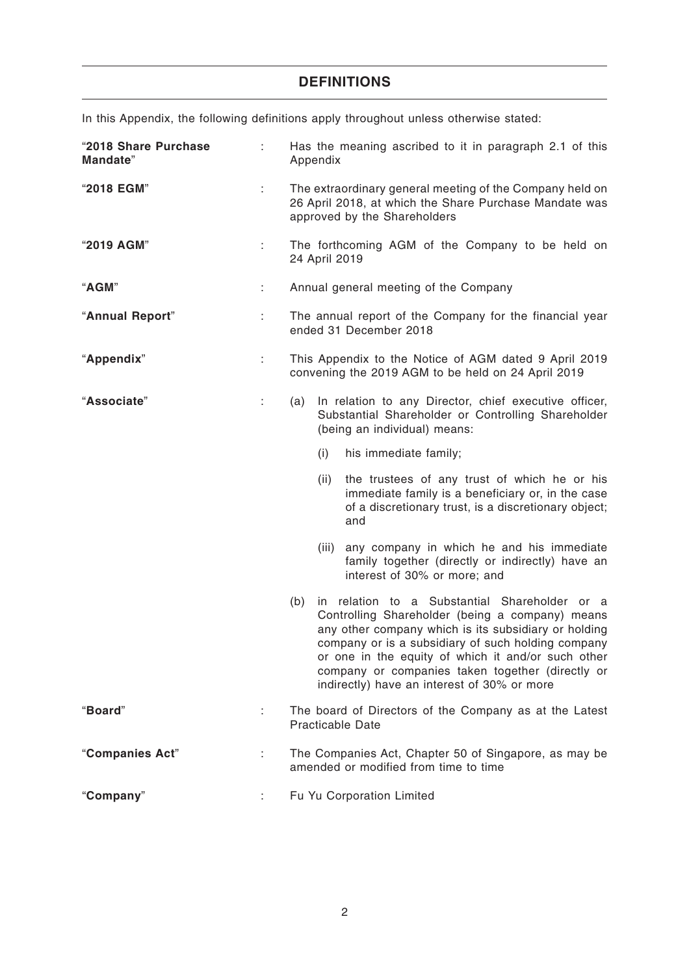# **DEFINITIONS**

In this Appendix, the following definitions apply throughout unless otherwise stated:

| "2018 Share Purchase<br>Mandate" |    | Has the meaning ascribed to it in paragraph 2.1 of this<br>Appendix                                                                                                                                                                                                                                                                                                            |  |  |  |
|----------------------------------|----|--------------------------------------------------------------------------------------------------------------------------------------------------------------------------------------------------------------------------------------------------------------------------------------------------------------------------------------------------------------------------------|--|--|--|
| "2018 EGM"                       | ÷  | The extraordinary general meeting of the Company held on<br>26 April 2018, at which the Share Purchase Mandate was<br>approved by the Shareholders                                                                                                                                                                                                                             |  |  |  |
| "2019 AGM"                       | ÷  | The forthcoming AGM of the Company to be held on<br>24 April 2019                                                                                                                                                                                                                                                                                                              |  |  |  |
| "AGM"                            | ÷  | Annual general meeting of the Company                                                                                                                                                                                                                                                                                                                                          |  |  |  |
| "Annual Report"                  | ÷  | The annual report of the Company for the financial year<br>ended 31 December 2018                                                                                                                                                                                                                                                                                              |  |  |  |
| "Appendix"                       | ÷  | This Appendix to the Notice of AGM dated 9 April 2019<br>convening the 2019 AGM to be held on 24 April 2019                                                                                                                                                                                                                                                                    |  |  |  |
| "Associate"                      | ÷. | In relation to any Director, chief executive officer,<br>(a)<br>Substantial Shareholder or Controlling Shareholder<br>(being an individual) means:                                                                                                                                                                                                                             |  |  |  |
|                                  |    | (i)<br>his immediate family;                                                                                                                                                                                                                                                                                                                                                   |  |  |  |
|                                  |    | (ii)<br>the trustees of any trust of which he or his<br>immediate family is a beneficiary or, in the case<br>of a discretionary trust, is a discretionary object;<br>and                                                                                                                                                                                                       |  |  |  |
|                                  |    | any company in which he and his immediate<br>(iii)<br>family together (directly or indirectly) have an<br>interest of 30% or more; and                                                                                                                                                                                                                                         |  |  |  |
|                                  |    | in relation to a Substantial Shareholder or a<br>(b)<br>Controlling Shareholder (being a company) means<br>any other company which is its subsidiary or holding<br>company or is a subsidiary of such holding company<br>or one in the equity of which it and/or such other<br>company or companies taken together (directly or<br>indirectly) have an interest of 30% or more |  |  |  |
| "Board"                          | ÷  | The board of Directors of the Company as at the Latest<br><b>Practicable Date</b>                                                                                                                                                                                                                                                                                              |  |  |  |
| "Companies Act"                  | ÷  | The Companies Act, Chapter 50 of Singapore, as may be<br>amended or modified from time to time                                                                                                                                                                                                                                                                                 |  |  |  |
| "Company"                        |    | Fu Yu Corporation Limited                                                                                                                                                                                                                                                                                                                                                      |  |  |  |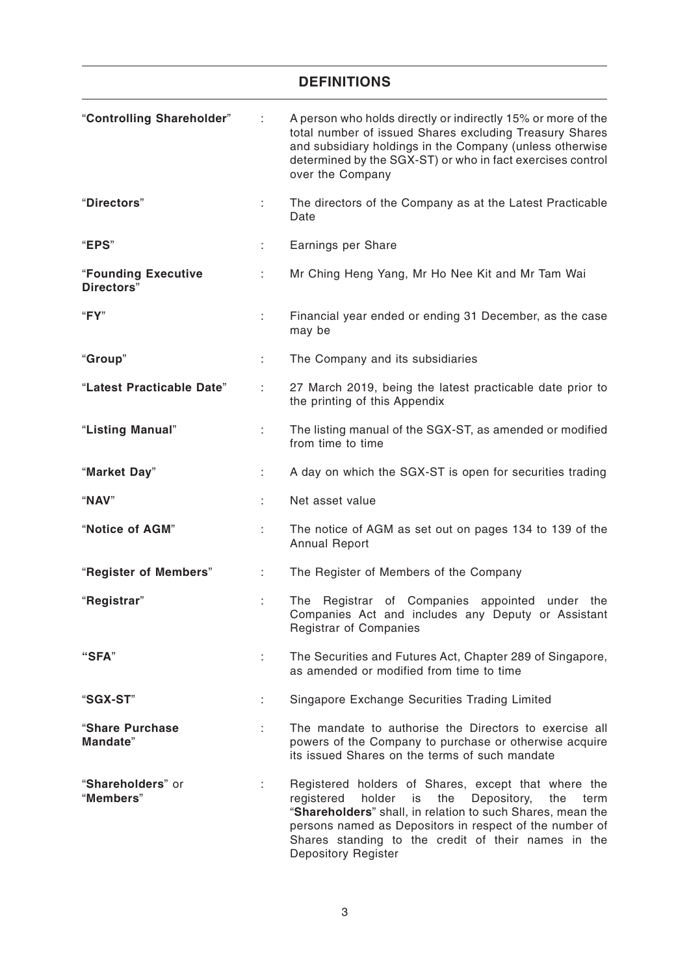## **DEFINITIONS**

| "Controlling Shareholder"         | ÷  | A person who holds directly or indirectly 15% or more of the<br>total number of issued Shares excluding Treasury Shares<br>and subsidiary holdings in the Company (unless otherwise<br>determined by the SGX-ST) or who in fact exercises control<br>over the Company                                                         |
|-----------------------------------|----|-------------------------------------------------------------------------------------------------------------------------------------------------------------------------------------------------------------------------------------------------------------------------------------------------------------------------------|
| "Directors"                       | t. | The directors of the Company as at the Latest Practicable<br>Date                                                                                                                                                                                                                                                             |
| "EPS"                             | ÷. | Earnings per Share                                                                                                                                                                                                                                                                                                            |
| "Founding Executive<br>Directors" | ÷. | Mr Ching Heng Yang, Mr Ho Nee Kit and Mr Tam Wai                                                                                                                                                                                                                                                                              |
| "FY"                              | ÷  | Financial year ended or ending 31 December, as the case<br>may be                                                                                                                                                                                                                                                             |
| "Group"                           | ÷  | The Company and its subsidiaries                                                                                                                                                                                                                                                                                              |
| "Latest Practicable Date"         |    | 27 March 2019, being the latest practicable date prior to<br>the printing of this Appendix                                                                                                                                                                                                                                    |
| "Listing Manual"                  |    | The listing manual of the SGX-ST, as amended or modified<br>from time to time                                                                                                                                                                                                                                                 |
| "Market Day"                      |    | A day on which the SGX-ST is open for securities trading                                                                                                                                                                                                                                                                      |
| "NAV"                             |    | Net asset value                                                                                                                                                                                                                                                                                                               |
| "Notice of AGM"                   | ÷  | The notice of AGM as set out on pages 134 to 139 of the<br><b>Annual Report</b>                                                                                                                                                                                                                                               |
| "Register of Members"             | ÷. | The Register of Members of the Company                                                                                                                                                                                                                                                                                        |
| "Registrar"                       | ÷  | Registrar of Companies appointed under<br>The<br>the<br>Companies Act and includes any Deputy or Assistant<br><b>Registrar of Companies</b>                                                                                                                                                                                   |
| "SFA"                             | ÷  | The Securities and Futures Act, Chapter 289 of Singapore,<br>as amended or modified from time to time                                                                                                                                                                                                                         |
| "SGX-ST"                          | ÷  | Singapore Exchange Securities Trading Limited                                                                                                                                                                                                                                                                                 |
| "Share Purchase<br>Mandate"       |    | The mandate to authorise the Directors to exercise all<br>powers of the Company to purchase or otherwise acquire<br>its issued Shares on the terms of such mandate                                                                                                                                                            |
| "Shareholders" or<br>"Members"    |    | Registered holders of Shares, except that where the<br>holder<br>the<br>Depository,<br>the<br>registered<br>is<br>term<br>"Shareholders" shall, in relation to such Shares, mean the<br>persons named as Depositors in respect of the number of<br>Shares standing to the credit of their names in the<br>Depository Register |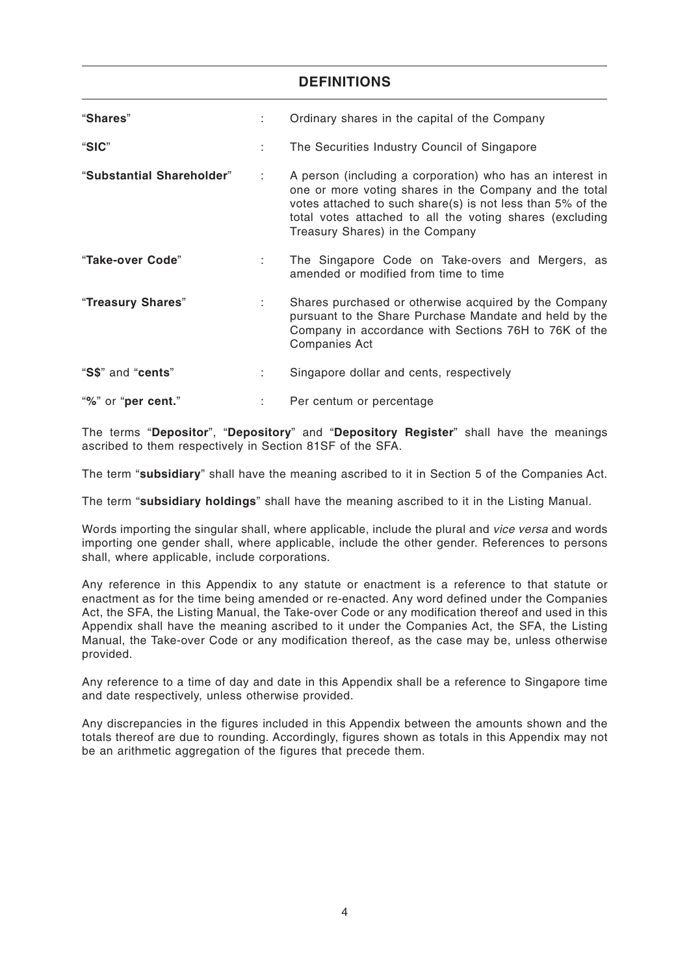### **DEFINITIONS**

| "Shares"                  |   | Ordinary shares in the capital of the Company                                                                                                                                                                                                                                    |
|---------------------------|---|----------------------------------------------------------------------------------------------------------------------------------------------------------------------------------------------------------------------------------------------------------------------------------|
| "SIC"                     | ÷ | The Securities Industry Council of Singapore                                                                                                                                                                                                                                     |
| "Substantial Shareholder" | ÷ | A person (including a corporation) who has an interest in<br>one or more voting shares in the Company and the total<br>votes attached to such share(s) is not less than 5% of the<br>total votes attached to all the voting shares (excluding<br>Treasury Shares) in the Company |
| "Take-over Code"          |   | The Singapore Code on Take-overs and Mergers, as<br>amended or modified from time to time                                                                                                                                                                                        |
| "Treasury Shares"         | ÷ | Shares purchased or otherwise acquired by the Company<br>pursuant to the Share Purchase Mandate and held by the<br>Company in accordance with Sections 76H to 76K of the<br><b>Companies Act</b>                                                                                 |
| "S\$" and "cents"         | ÷ | Singapore dollar and cents, respectively                                                                                                                                                                                                                                         |
| "%" or "per cent."        |   | Per centum or percentage                                                                                                                                                                                                                                                         |

The terms "**Depositor**", "**Depository**" and "**Depository Register**" shall have the meanings ascribed to them respectively in Section 81SF of the SFA.

The term "**subsidiary**" shall have the meaning ascribed to it in Section 5 of the Companies Act.

The term "**subsidiary holdings**" shall have the meaning ascribed to it in the Listing Manual.

Words importing the singular shall, where applicable, include the plural and *vice versa* and words importing one gender shall, where applicable, include the other gender. References to persons shall, where applicable, include corporations.

Any reference in this Appendix to any statute or enactment is a reference to that statute or enactment as for the time being amended or re-enacted. Any word defined under the Companies Act, the SFA, the Listing Manual, the Take-over Code or any modification thereof and used in this Appendix shall have the meaning ascribed to it under the Companies Act, the SFA, the Listing Manual, the Take-over Code or any modification thereof, as the case may be, unless otherwise provided.

Any reference to a time of day and date in this Appendix shall be a reference to Singapore time and date respectively, unless otherwise provided.

Any discrepancies in the figures included in this Appendix between the amounts shown and the totals thereof are due to rounding. Accordingly, figures shown as totals in this Appendix may not be an arithmetic aggregation of the figures that precede them.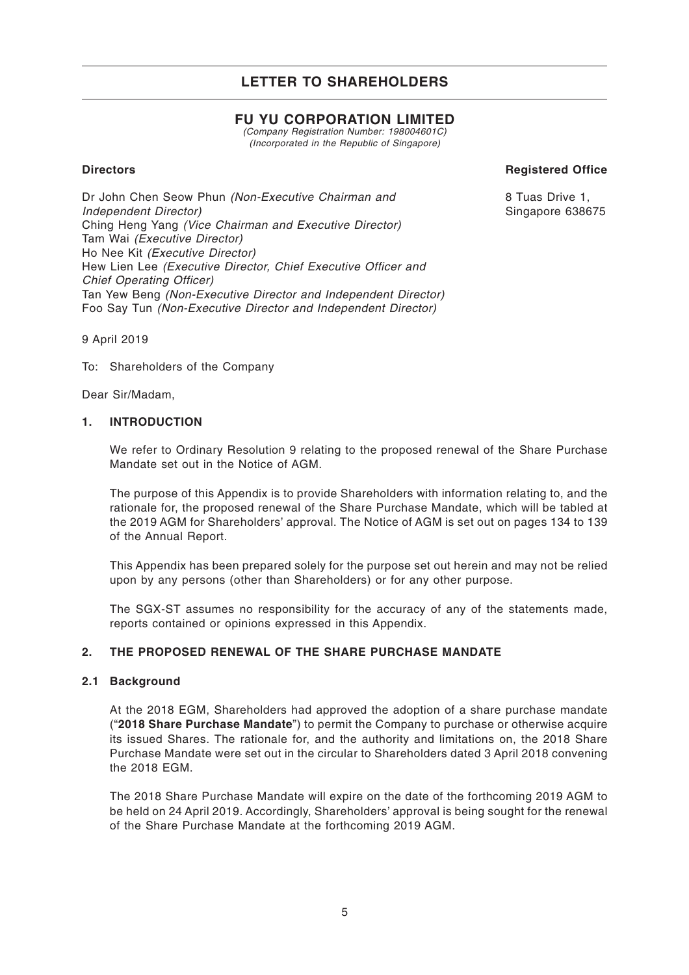## **FU YU CORPORATION LIMITED**

*(Company Registration Number: 198004601C) (Incorporated in the Republic of Singapore)*

### **Directors**

**Registered Office**

Dr John Chen Seow Phun *(Non-Executive Chairman and Independent Director)* Ching Heng Yang *(Vice Chairman and Executive Director)* Tam Wai *(Executive Director)* Ho Nee Kit *(Executive Director)* Hew Lien Lee *(Executive Director, Chief Executive Officer and Chief Operating Officer)* Tan Yew Beng *(Non-Executive Director and Independent Director)* Foo Say Tun *(Non-Executive Director and Independent Director)*

8 Tuas Drive 1, Singapore 638675

9 April 2019

To: Shareholders of the Company

Dear Sir/Madam,

### **1. INTRODUCTION**

We refer to Ordinary Resolution 9 relating to the proposed renewal of the Share Purchase Mandate set out in the Notice of AGM.

The purpose of this Appendix is to provide Shareholders with information relating to, and the rationale for, the proposed renewal of the Share Purchase Mandate, which will be tabled at the 2019 AGM for Shareholders' approval. The Notice of AGM is set out on pages 134 to 139 of the Annual Report.

This Appendix has been prepared solely for the purpose set out herein and may not be relied upon by any persons (other than Shareholders) or for any other purpose.

The SGX-ST assumes no responsibility for the accuracy of any of the statements made, reports contained or opinions expressed in this Appendix.

### **2. THE PROPOSED RENEWAL OF THE SHARE PURCHASE MANDATE**

### **2.1 Background**

At the 2018 EGM, Shareholders had approved the adoption of a share purchase mandate ("**2018 Share Purchase Mandate**") to permit the Company to purchase or otherwise acquire its issued Shares. The rationale for, and the authority and limitations on, the 2018 Share Purchase Mandate were set out in the circular to Shareholders dated 3 April 2018 convening the 2018 EGM.

The 2018 Share Purchase Mandate will expire on the date of the forthcoming 2019 AGM to be held on 24 April 2019. Accordingly, Shareholders' approval is being sought for the renewal of the Share Purchase Mandate at the forthcoming 2019 AGM.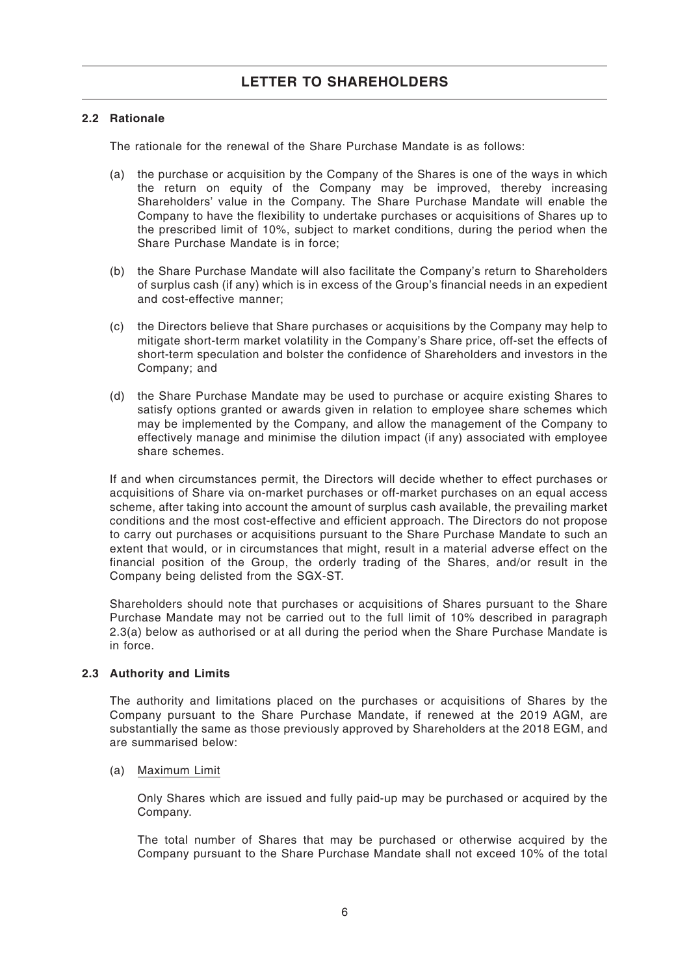### **2.2 Rationale**

The rationale for the renewal of the Share Purchase Mandate is as follows:

- (a) the purchase or acquisition by the Company of the Shares is one of the ways in which the return on equity of the Company may be improved, thereby increasing Shareholders' value in the Company. The Share Purchase Mandate will enable the Company to have the flexibility to undertake purchases or acquisitions of Shares up to the prescribed limit of 10%, subject to market conditions, during the period when the Share Purchase Mandate is in force;
- (b) the Share Purchase Mandate will also facilitate the Company's return to Shareholders of surplus cash (if any) which is in excess of the Group's financial needs in an expedient and cost-effective manner;
- (c) the Directors believe that Share purchases or acquisitions by the Company may help to mitigate short-term market volatility in the Company's Share price, off-set the effects of short-term speculation and bolster the confidence of Shareholders and investors in the Company; and
- (d) the Share Purchase Mandate may be used to purchase or acquire existing Shares to satisfy options granted or awards given in relation to employee share schemes which may be implemented by the Company, and allow the management of the Company to effectively manage and minimise the dilution impact (if any) associated with employee share schemes.

If and when circumstances permit, the Directors will decide whether to effect purchases or acquisitions of Share via on-market purchases or off-market purchases on an equal access scheme, after taking into account the amount of surplus cash available, the prevailing market conditions and the most cost-effective and efficient approach. The Directors do not propose to carry out purchases or acquisitions pursuant to the Share Purchase Mandate to such an extent that would, or in circumstances that might, result in a material adverse effect on the financial position of the Group, the orderly trading of the Shares, and/or result in the Company being delisted from the SGX-ST.

Shareholders should note that purchases or acquisitions of Shares pursuant to the Share Purchase Mandate may not be carried out to the full limit of 10% described in paragraph 2.3(a) below as authorised or at all during the period when the Share Purchase Mandate is in force.

### **2.3 Authority and Limits**

The authority and limitations placed on the purchases or acquisitions of Shares by the Company pursuant to the Share Purchase Mandate, if renewed at the 2019 AGM, are substantially the same as those previously approved by Shareholders at the 2018 EGM, and are summarised below:

### (a) Maximum Limit

Only Shares which are issued and fully paid-up may be purchased or acquired by the Company.

The total number of Shares that may be purchased or otherwise acquired by the Company pursuant to the Share Purchase Mandate shall not exceed 10% of the total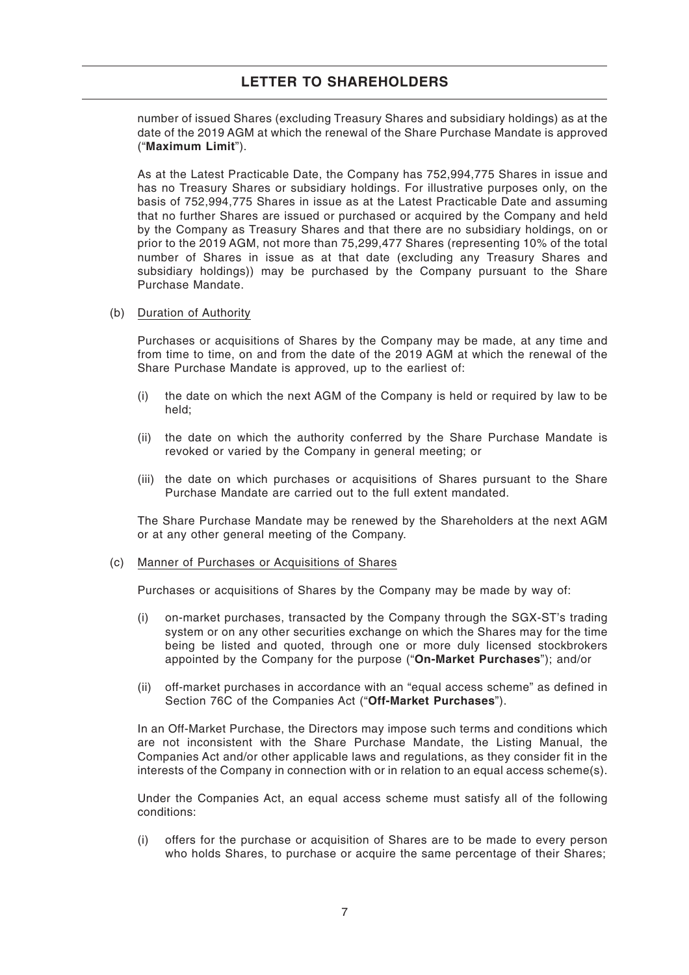number of issued Shares (excluding Treasury Shares and subsidiary holdings) as at the date of the 2019 AGM at which the renewal of the Share Purchase Mandate is approved ("**Maximum Limit**").

As at the Latest Practicable Date, the Company has 752,994,775 Shares in issue and has no Treasury Shares or subsidiary holdings. For illustrative purposes only, on the basis of 752,994,775 Shares in issue as at the Latest Practicable Date and assuming that no further Shares are issued or purchased or acquired by the Company and held by the Company as Treasury Shares and that there are no subsidiary holdings, on or prior to the 2019 AGM, not more than 75,299,477 Shares (representing 10% of the total number of Shares in issue as at that date (excluding any Treasury Shares and subsidiary holdings)) may be purchased by the Company pursuant to the Share Purchase Mandate.

#### (b) Duration of Authority

Purchases or acquisitions of Shares by the Company may be made, at any time and from time to time, on and from the date of the 2019 AGM at which the renewal of the Share Purchase Mandate is approved, up to the earliest of:

- (i) the date on which the next AGM of the Company is held or required by law to be held;
- (ii) the date on which the authority conferred by the Share Purchase Mandate is revoked or varied by the Company in general meeting; or
- (iii) the date on which purchases or acquisitions of Shares pursuant to the Share Purchase Mandate are carried out to the full extent mandated.

The Share Purchase Mandate may be renewed by the Shareholders at the next AGM or at any other general meeting of the Company.

#### (c) Manner of Purchases or Acquisitions of Shares

Purchases or acquisitions of Shares by the Company may be made by way of:

- (i) on-market purchases, transacted by the Company through the SGX-ST's trading system or on any other securities exchange on which the Shares may for the time being be listed and quoted, through one or more duly licensed stockbrokers appointed by the Company for the purpose ("**On-Market Purchases**"); and/or
- (ii) off-market purchases in accordance with an "equal access scheme" as defined in Section 76C of the Companies Act ("**Off-Market Purchases**").

In an Off-Market Purchase, the Directors may impose such terms and conditions which are not inconsistent with the Share Purchase Mandate, the Listing Manual, the Companies Act and/or other applicable laws and regulations, as they consider fit in the interests of the Company in connection with or in relation to an equal access scheme(s).

Under the Companies Act, an equal access scheme must satisfy all of the following conditions:

(i) offers for the purchase or acquisition of Shares are to be made to every person who holds Shares, to purchase or acquire the same percentage of their Shares;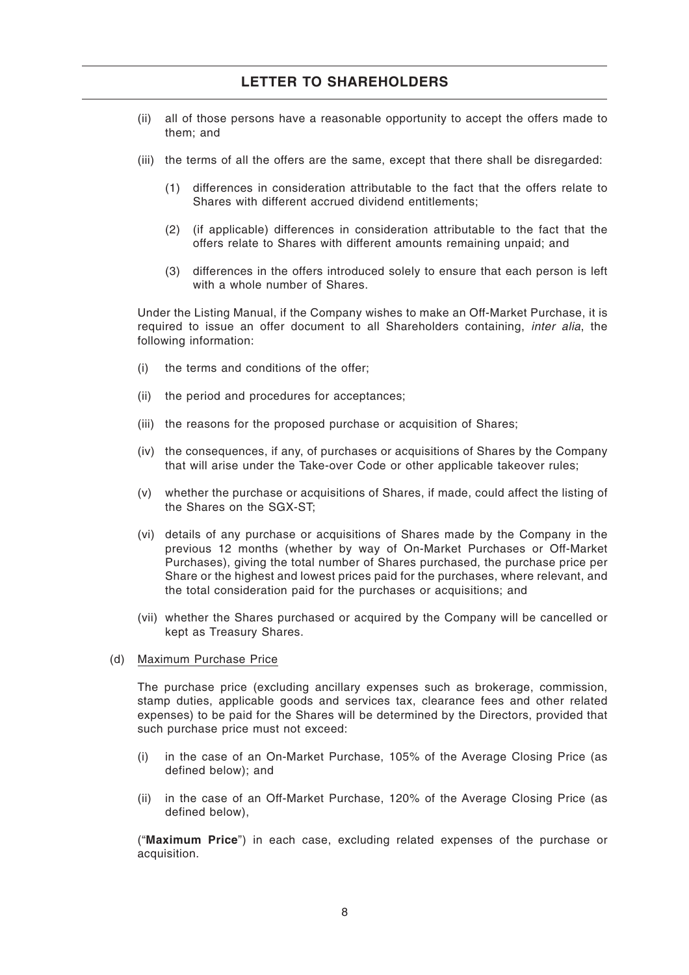- (ii) all of those persons have a reasonable opportunity to accept the offers made to them; and
- (iii) the terms of all the offers are the same, except that there shall be disregarded:
	- (1) differences in consideration attributable to the fact that the offers relate to Shares with different accrued dividend entitlements;
	- (2) (if applicable) differences in consideration attributable to the fact that the offers relate to Shares with different amounts remaining unpaid; and
	- (3) differences in the offers introduced solely to ensure that each person is left with a whole number of Shares.

Under the Listing Manual, if the Company wishes to make an Off-Market Purchase, it is required to issue an offer document to all Shareholders containing, *inter alia*, the following information:

- (i) the terms and conditions of the offer;
- (ii) the period and procedures for acceptances;
- (iii) the reasons for the proposed purchase or acquisition of Shares;
- (iv) the consequences, if any, of purchases or acquisitions of Shares by the Company that will arise under the Take-over Code or other applicable takeover rules;
- (v) whether the purchase or acquisitions of Shares, if made, could affect the listing of the Shares on the SGX-ST;
- (vi) details of any purchase or acquisitions of Shares made by the Company in the previous 12 months (whether by way of On-Market Purchases or Off-Market Purchases), giving the total number of Shares purchased, the purchase price per Share or the highest and lowest prices paid for the purchases, where relevant, and the total consideration paid for the purchases or acquisitions; and
- (vii) whether the Shares purchased or acquired by the Company will be cancelled or kept as Treasury Shares.
- (d) Maximum Purchase Price

The purchase price (excluding ancillary expenses such as brokerage, commission, stamp duties, applicable goods and services tax, clearance fees and other related expenses) to be paid for the Shares will be determined by the Directors, provided that such purchase price must not exceed:

- (i) in the case of an On-Market Purchase, 105% of the Average Closing Price (as defined below); and
- (ii) in the case of an Off-Market Purchase, 120% of the Average Closing Price (as defined below),

("**Maximum Price**") in each case, excluding related expenses of the purchase or acquisition.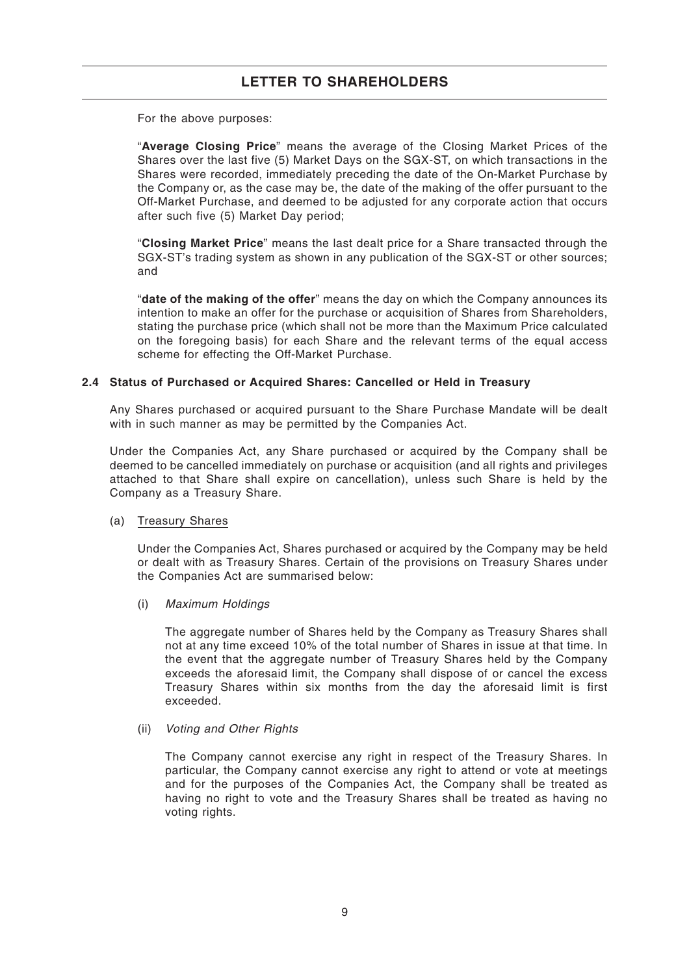For the above purposes:

"**Average Closing Price**" means the average of the Closing Market Prices of the Shares over the last five (5) Market Days on the SGX-ST, on which transactions in the Shares were recorded, immediately preceding the date of the On-Market Purchase by the Company or, as the case may be, the date of the making of the offer pursuant to the Off-Market Purchase, and deemed to be adjusted for any corporate action that occurs after such five (5) Market Day period;

"**Closing Market Price**" means the last dealt price for a Share transacted through the SGX-ST's trading system as shown in any publication of the SGX-ST or other sources; and

"**date of the making of the offer**" means the day on which the Company announces its intention to make an offer for the purchase or acquisition of Shares from Shareholders, stating the purchase price (which shall not be more than the Maximum Price calculated on the foregoing basis) for each Share and the relevant terms of the equal access scheme for effecting the Off-Market Purchase.

#### **2.4 Status of Purchased or Acquired Shares: Cancelled or Held in Treasury**

Any Shares purchased or acquired pursuant to the Share Purchase Mandate will be dealt with in such manner as may be permitted by the Companies Act.

Under the Companies Act, any Share purchased or acquired by the Company shall be deemed to be cancelled immediately on purchase or acquisition (and all rights and privileges attached to that Share shall expire on cancellation), unless such Share is held by the Company as a Treasury Share.

(a) Treasury Shares

Under the Companies Act, Shares purchased or acquired by the Company may be held or dealt with as Treasury Shares. Certain of the provisions on Treasury Shares under the Companies Act are summarised below:

(i) *Maximum Holdings*

The aggregate number of Shares held by the Company as Treasury Shares shall not at any time exceed 10% of the total number of Shares in issue at that time. In the event that the aggregate number of Treasury Shares held by the Company exceeds the aforesaid limit, the Company shall dispose of or cancel the excess Treasury Shares within six months from the day the aforesaid limit is first exceeded.

(ii) *Voting and Other Rights*

The Company cannot exercise any right in respect of the Treasury Shares. In particular, the Company cannot exercise any right to attend or vote at meetings and for the purposes of the Companies Act, the Company shall be treated as having no right to vote and the Treasury Shares shall be treated as having no voting rights.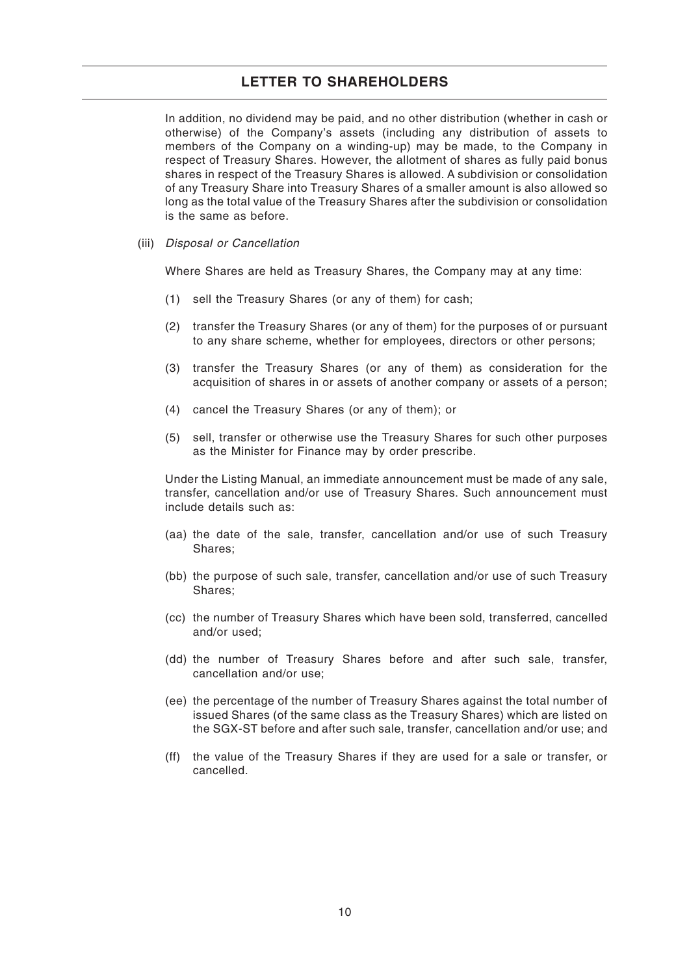In addition, no dividend may be paid, and no other distribution (whether in cash or otherwise) of the Company's assets (including any distribution of assets to members of the Company on a winding-up) may be made, to the Company in respect of Treasury Shares. However, the allotment of shares as fully paid bonus shares in respect of the Treasury Shares is allowed. A subdivision or consolidation of any Treasury Share into Treasury Shares of a smaller amount is also allowed so long as the total value of the Treasury Shares after the subdivision or consolidation is the same as before.

(iii) *Disposal or Cancellation*

Where Shares are held as Treasury Shares, the Company may at any time:

- (1) sell the Treasury Shares (or any of them) for cash;
- (2) transfer the Treasury Shares (or any of them) for the purposes of or pursuant to any share scheme, whether for employees, directors or other persons;
- (3) transfer the Treasury Shares (or any of them) as consideration for the acquisition of shares in or assets of another company or assets of a person;
- (4) cancel the Treasury Shares (or any of them); or
- (5) sell, transfer or otherwise use the Treasury Shares for such other purposes as the Minister for Finance may by order prescribe.

Under the Listing Manual, an immediate announcement must be made of any sale, transfer, cancellation and/or use of Treasury Shares. Such announcement must include details such as:

- (aa) the date of the sale, transfer, cancellation and/or use of such Treasury Shares;
- (bb) the purpose of such sale, transfer, cancellation and/or use of such Treasury Shares;
- (cc) the number of Treasury Shares which have been sold, transferred, cancelled and/or used;
- (dd) the number of Treasury Shares before and after such sale, transfer, cancellation and/or use;
- (ee) the percentage of the number of Treasury Shares against the total number of issued Shares (of the same class as the Treasury Shares) which are listed on the SGX-ST before and after such sale, transfer, cancellation and/or use; and
- (ff) the value of the Treasury Shares if they are used for a sale or transfer, or cancelled.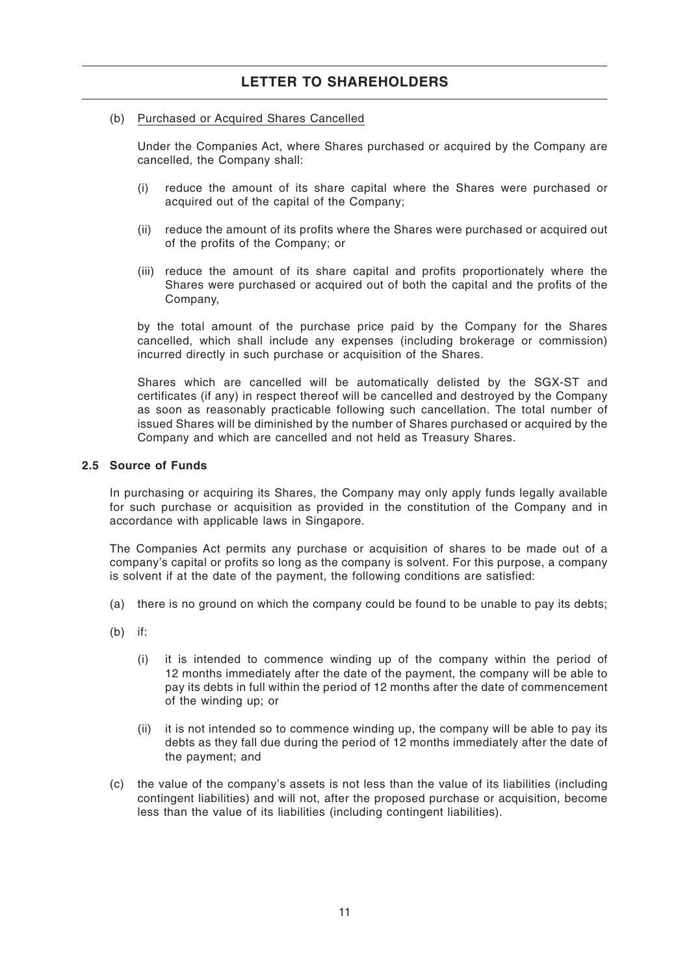### (b) Purchased or Acquired Shares Cancelled

Under the Companies Act, where Shares purchased or acquired by the Company are cancelled, the Company shall:

- (i) reduce the amount of its share capital where the Shares were purchased or acquired out of the capital of the Company;
- (ii) reduce the amount of its profits where the Shares were purchased or acquired out of the profits of the Company; or
- (iii) reduce the amount of its share capital and profits proportionately where the Shares were purchased or acquired out of both the capital and the profits of the Company,

by the total amount of the purchase price paid by the Company for the Shares cancelled, which shall include any expenses (including brokerage or commission) incurred directly in such purchase or acquisition of the Shares.

Shares which are cancelled will be automatically delisted by the SGX-ST and certificates (if any) in respect thereof will be cancelled and destroyed by the Company as soon as reasonably practicable following such cancellation. The total number of issued Shares will be diminished by the number of Shares purchased or acquired by the Company and which are cancelled and not held as Treasury Shares.

#### **2.5 Source of Funds**

In purchasing or acquiring its Shares, the Company may only apply funds legally available for such purchase or acquisition as provided in the constitution of the Company and in accordance with applicable laws in Singapore.

The Companies Act permits any purchase or acquisition of shares to be made out of a company's capital or profits so long as the company is solvent. For this purpose, a company is solvent if at the date of the payment, the following conditions are satisfied:

- (a) there is no ground on which the company could be found to be unable to pay its debts;
- $(b)$  if:
	- (i) it is intended to commence winding up of the company within the period of 12 months immediately after the date of the payment, the company will be able to pay its debts in full within the period of 12 months after the date of commencement of the winding up; or
	- (ii) it is not intended so to commence winding up, the company will be able to pay its debts as they fall due during the period of 12 months immediately after the date of the payment; and
- (c) the value of the company's assets is not less than the value of its liabilities (including contingent liabilities) and will not, after the proposed purchase or acquisition, become less than the value of its liabilities (including contingent liabilities).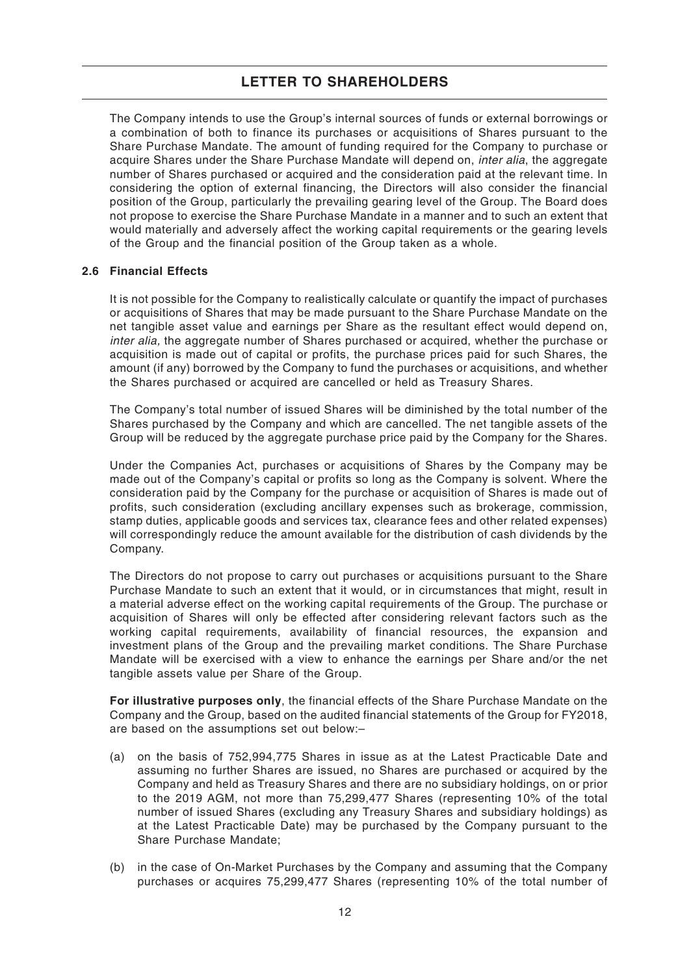The Company intends to use the Group's internal sources of funds or external borrowings or a combination of both to finance its purchases or acquisitions of Shares pursuant to the Share Purchase Mandate. The amount of funding required for the Company to purchase or acquire Shares under the Share Purchase Mandate will depend on, *inter alia*, the aggregate number of Shares purchased or acquired and the consideration paid at the relevant time. In considering the option of external financing, the Directors will also consider the financial position of the Group, particularly the prevailing gearing level of the Group. The Board does not propose to exercise the Share Purchase Mandate in a manner and to such an extent that would materially and adversely affect the working capital requirements or the gearing levels of the Group and the financial position of the Group taken as a whole.

#### **2.6 Financial Effects**

It is not possible for the Company to realistically calculate or quantify the impact of purchases or acquisitions of Shares that may be made pursuant to the Share Purchase Mandate on the net tangible asset value and earnings per Share as the resultant effect would depend on, *inter alia,* the aggregate number of Shares purchased or acquired, whether the purchase or acquisition is made out of capital or profits, the purchase prices paid for such Shares, the amount (if any) borrowed by the Company to fund the purchases or acquisitions, and whether the Shares purchased or acquired are cancelled or held as Treasury Shares.

The Company's total number of issued Shares will be diminished by the total number of the Shares purchased by the Company and which are cancelled. The net tangible assets of the Group will be reduced by the aggregate purchase price paid by the Company for the Shares.

Under the Companies Act, purchases or acquisitions of Shares by the Company may be made out of the Company's capital or profits so long as the Company is solvent. Where the consideration paid by the Company for the purchase or acquisition of Shares is made out of profits, such consideration (excluding ancillary expenses such as brokerage, commission, stamp duties, applicable goods and services tax, clearance fees and other related expenses) will correspondingly reduce the amount available for the distribution of cash dividends by the Company.

The Directors do not propose to carry out purchases or acquisitions pursuant to the Share Purchase Mandate to such an extent that it would, or in circumstances that might, result in a material adverse effect on the working capital requirements of the Group. The purchase or acquisition of Shares will only be effected after considering relevant factors such as the working capital requirements, availability of financial resources, the expansion and investment plans of the Group and the prevailing market conditions. The Share Purchase Mandate will be exercised with a view to enhance the earnings per Share and/or the net tangible assets value per Share of the Group.

**For illustrative purposes only**, the financial effects of the Share Purchase Mandate on the Company and the Group, based on the audited financial statements of the Group for FY2018, are based on the assumptions set out below:–

- (a) on the basis of 752,994,775 Shares in issue as at the Latest Practicable Date and assuming no further Shares are issued, no Shares are purchased or acquired by the Company and held as Treasury Shares and there are no subsidiary holdings, on or prior to the 2019 AGM, not more than 75,299,477 Shares (representing 10% of the total number of issued Shares (excluding any Treasury Shares and subsidiary holdings) as at the Latest Practicable Date) may be purchased by the Company pursuant to the Share Purchase Mandate;
- (b) in the case of On-Market Purchases by the Company and assuming that the Company purchases or acquires 75,299,477 Shares (representing 10% of the total number of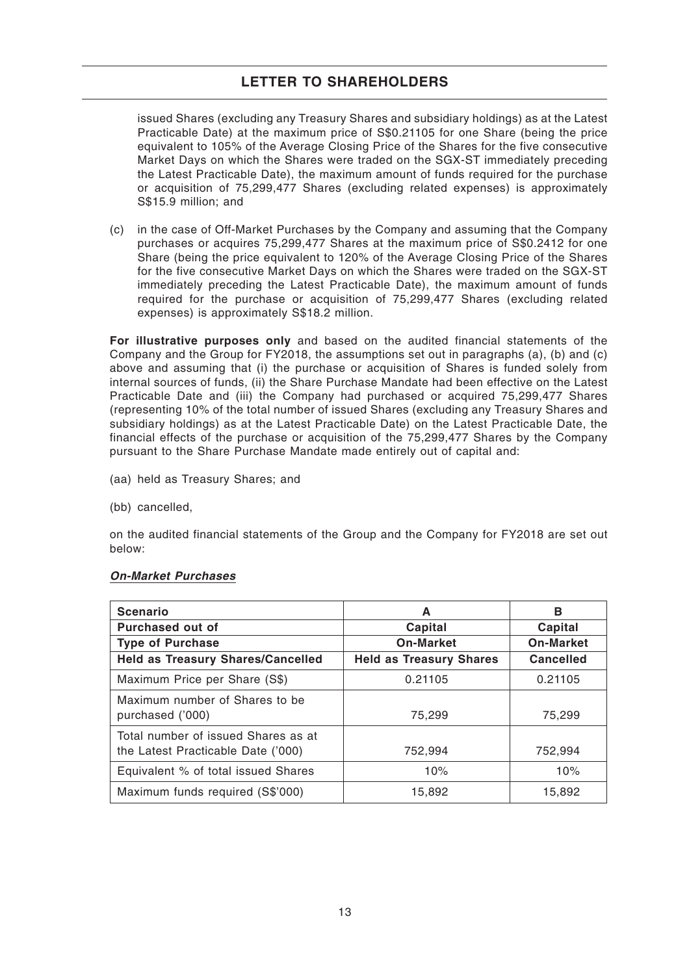issued Shares (excluding any Treasury Shares and subsidiary holdings) as at the Latest Practicable Date) at the maximum price of S\$0.21105 for one Share (being the price equivalent to 105% of the Average Closing Price of the Shares for the five consecutive Market Days on which the Shares were traded on the SGX-ST immediately preceding the Latest Practicable Date), the maximum amount of funds required for the purchase or acquisition of 75,299,477 Shares (excluding related expenses) is approximately S\$15.9 million; and

(c) in the case of Off-Market Purchases by the Company and assuming that the Company purchases or acquires 75,299,477 Shares at the maximum price of S\$0.2412 for one Share (being the price equivalent to 120% of the Average Closing Price of the Shares for the five consecutive Market Days on which the Shares were traded on the SGX-ST immediately preceding the Latest Practicable Date), the maximum amount of funds required for the purchase or acquisition of 75,299,477 Shares (excluding related expenses) is approximately S\$18.2 million.

**For illustrative purposes only** and based on the audited financial statements of the Company and the Group for FY2018, the assumptions set out in paragraphs (a), (b) and (c) above and assuming that (i) the purchase or acquisition of Shares is funded solely from internal sources of funds, (ii) the Share Purchase Mandate had been effective on the Latest Practicable Date and (iii) the Company had purchased or acquired 75,299,477 Shares (representing 10% of the total number of issued Shares (excluding any Treasury Shares and subsidiary holdings) as at the Latest Practicable Date) on the Latest Practicable Date, the financial effects of the purchase or acquisition of the 75,299,477 Shares by the Company pursuant to the Share Purchase Mandate made entirely out of capital and:

- (aa) held as Treasury Shares; and
- (bb) cancelled,

on the audited financial statements of the Group and the Company for FY2018 are set out below:

| <b>Scenario</b>                                                           | A                              | в                |
|---------------------------------------------------------------------------|--------------------------------|------------------|
| Purchased out of                                                          | Capital                        | Capital          |
| <b>Type of Purchase</b>                                                   | <b>On-Market</b>               | <b>On-Market</b> |
| <b>Held as Treasury Shares/Cancelled</b>                                  | <b>Held as Treasury Shares</b> | <b>Cancelled</b> |
| Maximum Price per Share (S\$)                                             | 0.21105                        | 0.21105          |
| Maximum number of Shares to be<br>purchased ('000)                        | 75,299                         | 75,299           |
| Total number of issued Shares as at<br>the Latest Practicable Date ('000) | 752,994                        | 752,994          |
| Equivalent % of total issued Shares                                       | 10%                            | 10%              |
| Maximum funds required (S\$'000)                                          | 15,892                         | 15,892           |

### **On-Market Purchases**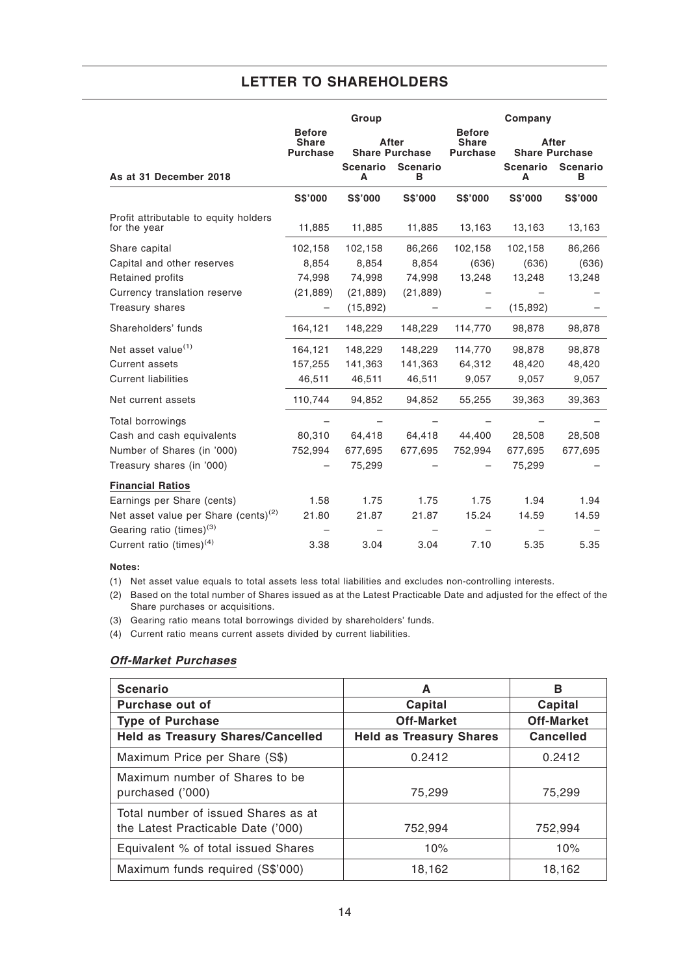|                                                       |                                                  | Group                |                                |                                                  | Company              |                                |
|-------------------------------------------------------|--------------------------------------------------|----------------------|--------------------------------|--------------------------------------------------|----------------------|--------------------------------|
|                                                       | <b>Before</b><br><b>Share</b><br><b>Purchase</b> |                      | After<br><b>Share Purchase</b> | <b>Before</b><br><b>Share</b><br><b>Purchase</b> |                      | After<br><b>Share Purchase</b> |
| As at 31 December 2018                                |                                                  | <b>Scenario</b><br>A | <b>Scenario</b><br>в           |                                                  | <b>Scenario</b><br>Α | <b>Scenario</b><br>в           |
|                                                       | <b>S\$'000</b>                                   | <b>S\$'000</b>       | <b>S\$'000</b>                 | <b>S\$'000</b>                                   | <b>S\$'000</b>       | S\$'000                        |
| Profit attributable to equity holders<br>for the year | 11,885                                           | 11,885               | 11,885                         | 13,163                                           | 13,163               | 13,163                         |
| Share capital                                         | 102,158                                          | 102,158              | 86,266                         | 102,158                                          | 102,158              | 86,266                         |
| Capital and other reserves                            | 8,854                                            | 8,854                | 8,854                          | (636)                                            | (636)                | (636)                          |
| Retained profits                                      | 74,998                                           | 74,998               | 74,998                         | 13,248                                           | 13,248               | 13,248                         |
| Currency translation reserve                          | (21, 889)                                        | (21, 889)            | (21, 889)                      |                                                  |                      |                                |
| Treasury shares                                       |                                                  | (15, 892)            |                                |                                                  | (15, 892)            |                                |
| Shareholders' funds                                   | 164,121                                          | 148,229              | 148,229                        | 114,770                                          | 98,878               | 98,878                         |
| Net asset value <sup>(1)</sup>                        | 164,121                                          | 148,229              | 148,229                        | 114,770                                          | 98,878               | 98,878                         |
| <b>Current assets</b>                                 | 157,255                                          | 141,363              | 141,363                        | 64,312                                           | 48,420               | 48,420                         |
| <b>Current liabilities</b>                            | 46,511                                           | 46,511               | 46,511                         | 9,057                                            | 9,057                | 9,057                          |
| Net current assets                                    | 110,744                                          | 94,852               | 94,852                         | 55,255                                           | 39,363               | 39,363                         |
| Total borrowings                                      |                                                  |                      |                                |                                                  |                      |                                |
| Cash and cash equivalents                             | 80,310                                           | 64,418               | 64,418                         | 44,400                                           | 28,508               | 28,508                         |
| Number of Shares (in '000)                            | 752,994                                          | 677,695              | 677,695                        | 752,994                                          | 677,695              | 677,695                        |
| Treasury shares (in '000)                             |                                                  | 75,299               |                                |                                                  | 75,299               |                                |
| <b>Financial Ratios</b>                               |                                                  |                      |                                |                                                  |                      |                                |
| Earnings per Share (cents)                            | 1.58                                             | 1.75                 | 1.75                           | 1.75                                             | 1.94                 | 1.94                           |
| Net asset value per Share (cents) <sup>(2)</sup>      | 21.80                                            | 21.87                | 21.87                          | 15.24                                            | 14.59                | 14.59                          |
| Gearing ratio (times) <sup>(3)</sup>                  |                                                  |                      |                                |                                                  |                      |                                |
| Current ratio (times) <sup>(4)</sup>                  | 3.38                                             | 3.04                 | 3.04                           | 7.10                                             | 5.35                 | 5.35                           |

### **Notes:**

(1) Net asset value equals to total assets less total liabilities and excludes non-controlling interests.

(2) Based on the total number of Shares issued as at the Latest Practicable Date and adjusted for the effect of the Share purchases or acquisitions.

(3) Gearing ratio means total borrowings divided by shareholders' funds.

(4) Current ratio means current assets divided by current liabilities.

### **Off-Market Purchases**

| <b>Scenario</b>                                                           | A                              | в                 |
|---------------------------------------------------------------------------|--------------------------------|-------------------|
| Purchase out of                                                           | Capital                        | Capital           |
| <b>Type of Purchase</b>                                                   | <b>Off-Market</b>              | <b>Off-Market</b> |
| <b>Held as Treasury Shares/Cancelled</b>                                  | <b>Held as Treasury Shares</b> | <b>Cancelled</b>  |
| Maximum Price per Share (S\$)                                             | 0.2412                         | 0.2412            |
| Maximum number of Shares to be<br>purchased ('000)                        | 75,299                         | 75,299            |
| Total number of issued Shares as at<br>the Latest Practicable Date ('000) | 752,994                        | 752,994           |
| Equivalent % of total issued Shares                                       | 10%                            | 10%               |
| Maximum funds required (S\$'000)                                          | 18,162                         | 18,162            |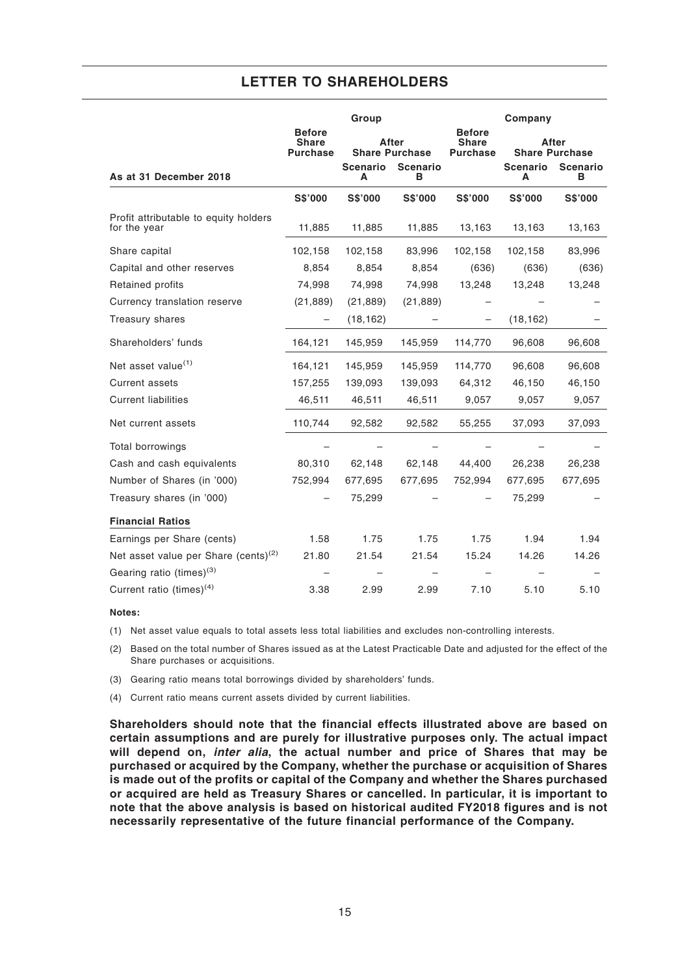|                                                       | Group                                            |                       |                      | Company                                   |                                |                |
|-------------------------------------------------------|--------------------------------------------------|-----------------------|----------------------|-------------------------------------------|--------------------------------|----------------|
|                                                       | <b>Before</b><br><b>Share</b><br><b>Purchase</b> | <b>Share Purchase</b> | After                | <b>Before</b><br>Share<br><b>Purchase</b> | After<br><b>Share Purchase</b> |                |
| As at 31 December 2018                                |                                                  | <b>Scenario</b><br>A  | <b>Scenario</b><br>в |                                           | <b>Scenario</b><br>А           | Scenario<br>в  |
|                                                       | <b>S\$'000</b>                                   | <b>S\$'000</b>        | S\$'000              | <b>S\$'000</b>                            | <b>S\$'000</b>                 | <b>S\$'000</b> |
| Profit attributable to equity holders<br>for the year | 11,885                                           | 11,885                | 11,885               | 13,163                                    | 13,163                         | 13,163         |
| Share capital                                         | 102,158                                          | 102,158               | 83,996               | 102,158                                   | 102,158                        | 83,996         |
| Capital and other reserves                            | 8,854                                            | 8,854                 | 8,854                | (636)                                     | (636)                          | (636)          |
| Retained profits                                      | 74,998                                           | 74,998                | 74,998               | 13,248                                    | 13,248                         | 13,248         |
| Currency translation reserve                          | (21, 889)                                        | (21, 889)             | (21, 889)            |                                           |                                |                |
| Treasury shares                                       |                                                  | (18, 162)             |                      |                                           | (18, 162)                      |                |
| Shareholders' funds                                   | 164,121                                          | 145,959               | 145,959              | 114,770                                   | 96,608                         | 96,608         |
| Net asset value <sup>(1)</sup>                        | 164,121                                          | 145,959               | 145,959              | 114,770                                   | 96,608                         | 96,608         |
| <b>Current assets</b>                                 | 157,255                                          | 139,093               | 139,093              | 64,312                                    | 46,150                         | 46,150         |
| <b>Current liabilities</b>                            | 46,511                                           | 46,511                | 46,511               | 9,057                                     | 9,057                          | 9,057          |
| Net current assets                                    | 110,744                                          | 92,582                | 92,582               | 55,255                                    | 37,093                         | 37,093         |
| Total borrowings                                      |                                                  |                       |                      |                                           |                                |                |
| Cash and cash equivalents                             | 80,310                                           | 62,148                | 62,148               | 44,400                                    | 26,238                         | 26,238         |
| Number of Shares (in '000)                            | 752,994                                          | 677,695               | 677,695              | 752,994                                   | 677,695                        | 677,695        |
| Treasury shares (in '000)                             |                                                  | 75,299                |                      |                                           | 75,299                         |                |
| <b>Financial Ratios</b>                               |                                                  |                       |                      |                                           |                                |                |
| Earnings per Share (cents)                            | 1.58                                             | 1.75                  | 1.75                 | 1.75                                      | 1.94                           | 1.94           |
| Net asset value per Share (cents) $(2)$               | 21.80                                            | 21.54                 | 21.54                | 15.24                                     | 14.26                          | 14.26          |
| Gearing ratio (times) <sup>(3)</sup>                  |                                                  |                       |                      |                                           |                                |                |
| Current ratio (times) <sup>(4)</sup>                  | 3.38                                             | 2.99                  | 2.99                 | 7.10                                      | 5.10                           | 5.10           |

#### **Notes:**

(1) Net asset value equals to total assets less total liabilities and excludes non-controlling interests.

(2) Based on the total number of Shares issued as at the Latest Practicable Date and adjusted for the effect of the Share purchases or acquisitions.

(3) Gearing ratio means total borrowings divided by shareholders' funds.

(4) Current ratio means current assets divided by current liabilities.

**Shareholders should note that the financial effects illustrated above are based on certain assumptions and are purely for illustrative purposes only. The actual impact will depend on, inter alia, the actual number and price of Shares that may be purchased or acquired by the Company, whether the purchase or acquisition of Shares is made out of the profits or capital of the Company and whether the Shares purchased or acquired are held as Treasury Shares or cancelled. In particular, it is important to note that the above analysis is based on historical audited FY2018 figures and is not necessarily representative of the future financial performance of the Company.**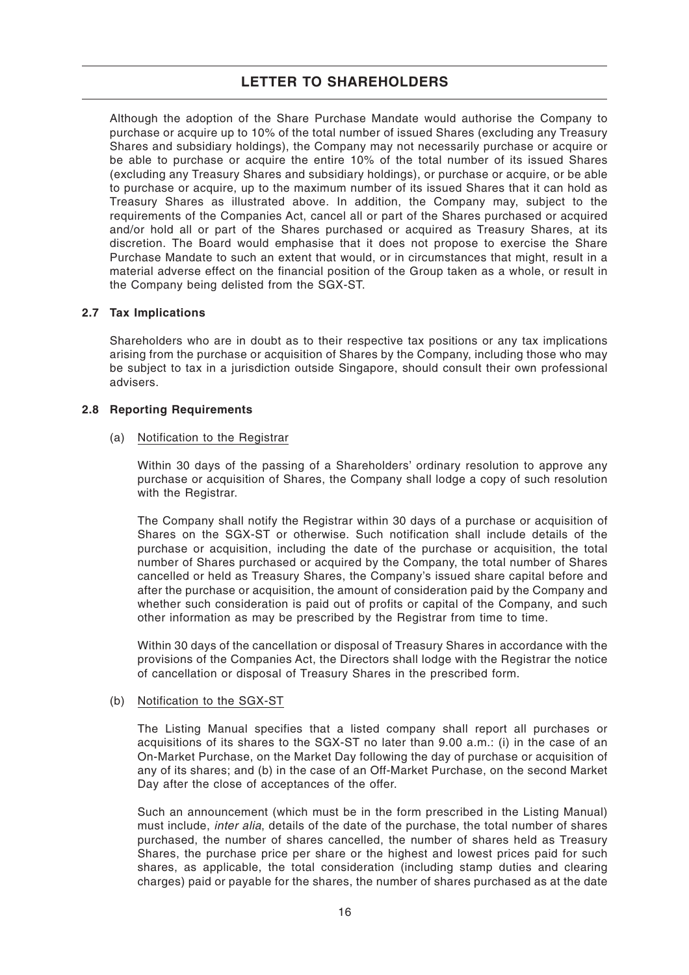Although the adoption of the Share Purchase Mandate would authorise the Company to purchase or acquire up to 10% of the total number of issued Shares (excluding any Treasury Shares and subsidiary holdings), the Company may not necessarily purchase or acquire or be able to purchase or acquire the entire 10% of the total number of its issued Shares (excluding any Treasury Shares and subsidiary holdings), or purchase or acquire, or be able to purchase or acquire, up to the maximum number of its issued Shares that it can hold as Treasury Shares as illustrated above. In addition, the Company may, subject to the requirements of the Companies Act, cancel all or part of the Shares purchased or acquired and/or hold all or part of the Shares purchased or acquired as Treasury Shares, at its discretion. The Board would emphasise that it does not propose to exercise the Share Purchase Mandate to such an extent that would, or in circumstances that might, result in a material adverse effect on the financial position of the Group taken as a whole, or result in the Company being delisted from the SGX-ST.

#### **2.7 Tax Implications**

Shareholders who are in doubt as to their respective tax positions or any tax implications arising from the purchase or acquisition of Shares by the Company, including those who may be subject to tax in a jurisdiction outside Singapore, should consult their own professional advisers.

#### **2.8 Reporting Requirements**

#### (a) Notification to the Registrar

Within 30 days of the passing of a Shareholders' ordinary resolution to approve any purchase or acquisition of Shares, the Company shall lodge a copy of such resolution with the Registrar.

The Company shall notify the Registrar within 30 days of a purchase or acquisition of Shares on the SGX-ST or otherwise. Such notification shall include details of the purchase or acquisition, including the date of the purchase or acquisition, the total number of Shares purchased or acquired by the Company, the total number of Shares cancelled or held as Treasury Shares, the Company's issued share capital before and after the purchase or acquisition, the amount of consideration paid by the Company and whether such consideration is paid out of profits or capital of the Company, and such other information as may be prescribed by the Registrar from time to time.

Within 30 days of the cancellation or disposal of Treasury Shares in accordance with the provisions of the Companies Act, the Directors shall lodge with the Registrar the notice of cancellation or disposal of Treasury Shares in the prescribed form.

#### (b) Notification to the SGX-ST

The Listing Manual specifies that a listed company shall report all purchases or acquisitions of its shares to the SGX-ST no later than 9.00 a.m.: (i) in the case of an On-Market Purchase, on the Market Day following the day of purchase or acquisition of any of its shares; and (b) in the case of an Off-Market Purchase, on the second Market Day after the close of acceptances of the offer.

Such an announcement (which must be in the form prescribed in the Listing Manual) must include, *inter alia*, details of the date of the purchase, the total number of shares purchased, the number of shares cancelled, the number of shares held as Treasury Shares, the purchase price per share or the highest and lowest prices paid for such shares, as applicable, the total consideration (including stamp duties and clearing charges) paid or payable for the shares, the number of shares purchased as at the date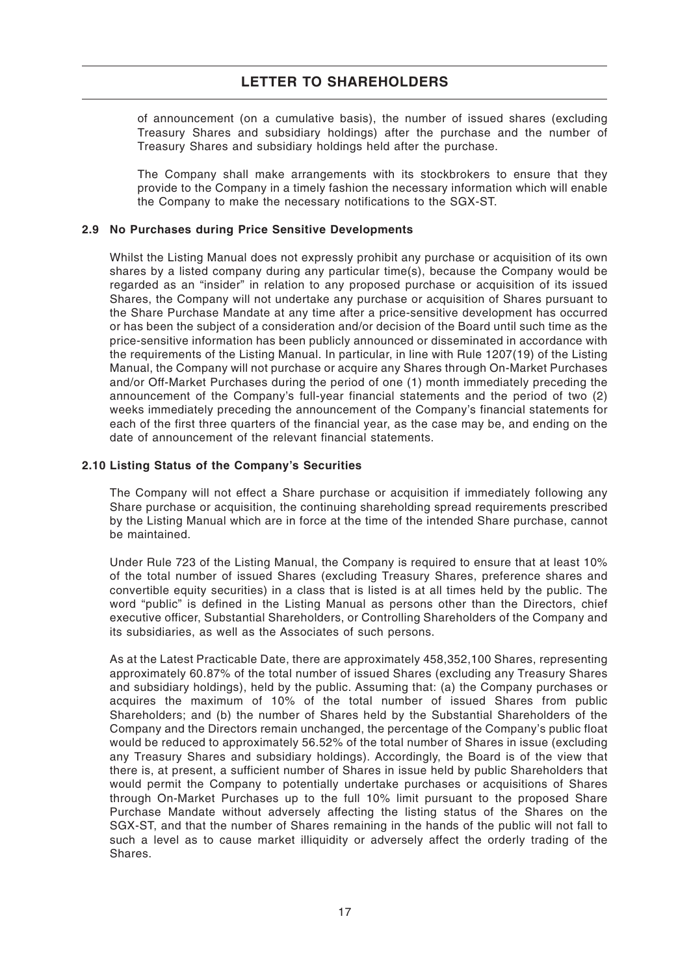of announcement (on a cumulative basis), the number of issued shares (excluding Treasury Shares and subsidiary holdings) after the purchase and the number of Treasury Shares and subsidiary holdings held after the purchase.

The Company shall make arrangements with its stockbrokers to ensure that they provide to the Company in a timely fashion the necessary information which will enable the Company to make the necessary notifications to the SGX-ST.

#### **2.9 No Purchases during Price Sensitive Developments**

Whilst the Listing Manual does not expressly prohibit any purchase or acquisition of its own shares by a listed company during any particular time(s), because the Company would be regarded as an "insider" in relation to any proposed purchase or acquisition of its issued Shares, the Company will not undertake any purchase or acquisition of Shares pursuant to the Share Purchase Mandate at any time after a price-sensitive development has occurred or has been the subject of a consideration and/or decision of the Board until such time as the price-sensitive information has been publicly announced or disseminated in accordance with the requirements of the Listing Manual. In particular, in line with Rule 1207(19) of the Listing Manual, the Company will not purchase or acquire any Shares through On-Market Purchases and/or Off-Market Purchases during the period of one (1) month immediately preceding the announcement of the Company's full-year financial statements and the period of two (2) weeks immediately preceding the announcement of the Company's financial statements for each of the first three quarters of the financial year, as the case may be, and ending on the date of announcement of the relevant financial statements.

#### **2.10 Listing Status of the Company's Securities**

The Company will not effect a Share purchase or acquisition if immediately following any Share purchase or acquisition, the continuing shareholding spread requirements prescribed by the Listing Manual which are in force at the time of the intended Share purchase, cannot be maintained.

Under Rule 723 of the Listing Manual, the Company is required to ensure that at least 10% of the total number of issued Shares (excluding Treasury Shares, preference shares and convertible equity securities) in a class that is listed is at all times held by the public. The word "public" is defined in the Listing Manual as persons other than the Directors, chief executive officer, Substantial Shareholders, or Controlling Shareholders of the Company and its subsidiaries, as well as the Associates of such persons.

As at the Latest Practicable Date, there are approximately 458,352,100 Shares, representing approximately 60.87% of the total number of issued Shares (excluding any Treasury Shares and subsidiary holdings), held by the public. Assuming that: (a) the Company purchases or acquires the maximum of 10% of the total number of issued Shares from public Shareholders; and (b) the number of Shares held by the Substantial Shareholders of the Company and the Directors remain unchanged, the percentage of the Company's public float would be reduced to approximately 56.52% of the total number of Shares in issue (excluding any Treasury Shares and subsidiary holdings). Accordingly, the Board is of the view that there is, at present, a sufficient number of Shares in issue held by public Shareholders that would permit the Company to potentially undertake purchases or acquisitions of Shares through On-Market Purchases up to the full 10% limit pursuant to the proposed Share Purchase Mandate without adversely affecting the listing status of the Shares on the SGX-ST, and that the number of Shares remaining in the hands of the public will not fall to such a level as to cause market illiquidity or adversely affect the orderly trading of the Shares.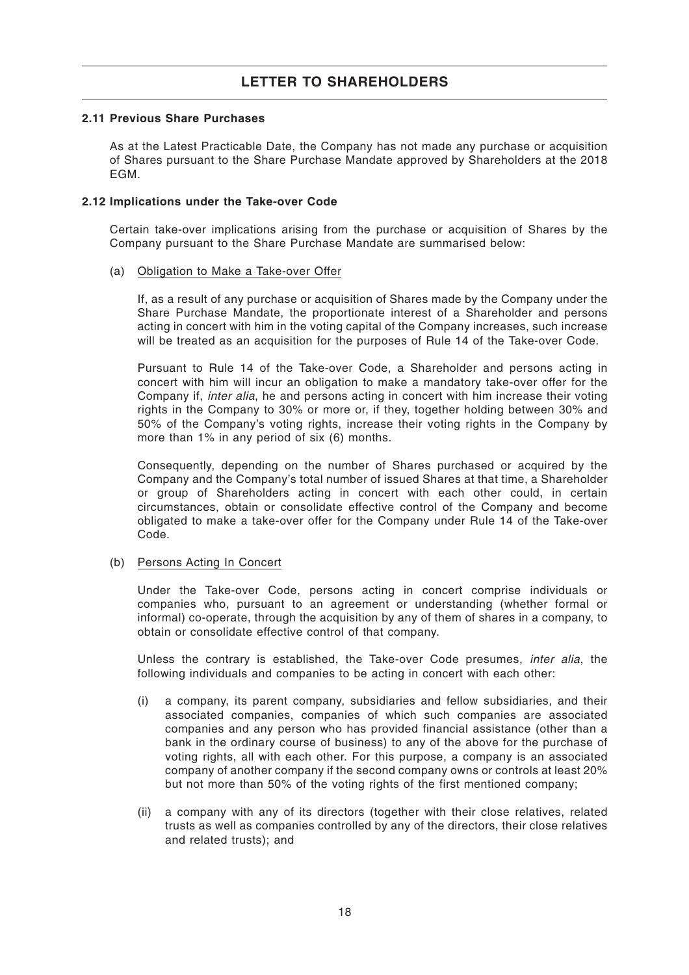#### **2.11 Previous Share Purchases**

As at the Latest Practicable Date, the Company has not made any purchase or acquisition of Shares pursuant to the Share Purchase Mandate approved by Shareholders at the 2018 **FGM** 

#### **2.12 Implications under the Take-over Code**

Certain take-over implications arising from the purchase or acquisition of Shares by the Company pursuant to the Share Purchase Mandate are summarised below:

#### (a) Obligation to Make a Take-over Offer

If, as a result of any purchase or acquisition of Shares made by the Company under the Share Purchase Mandate, the proportionate interest of a Shareholder and persons acting in concert with him in the voting capital of the Company increases, such increase will be treated as an acquisition for the purposes of Rule 14 of the Take-over Code.

Pursuant to Rule 14 of the Take-over Code, a Shareholder and persons acting in concert with him will incur an obligation to make a mandatory take-over offer for the Company if, *inter alia*, he and persons acting in concert with him increase their voting rights in the Company to 30% or more or, if they, together holding between 30% and 50% of the Company's voting rights, increase their voting rights in the Company by more than 1% in any period of six (6) months.

Consequently, depending on the number of Shares purchased or acquired by the Company and the Company's total number of issued Shares at that time, a Shareholder or group of Shareholders acting in concert with each other could, in certain circumstances, obtain or consolidate effective control of the Company and become obligated to make a take-over offer for the Company under Rule 14 of the Take-over Code.

#### (b) Persons Acting In Concert

Under the Take-over Code, persons acting in concert comprise individuals or companies who, pursuant to an agreement or understanding (whether formal or informal) co-operate, through the acquisition by any of them of shares in a company, to obtain or consolidate effective control of that company.

Unless the contrary is established, the Take-over Code presumes, *inter alia*, the following individuals and companies to be acting in concert with each other:

- (i) a company, its parent company, subsidiaries and fellow subsidiaries, and their associated companies, companies of which such companies are associated companies and any person who has provided financial assistance (other than a bank in the ordinary course of business) to any of the above for the purchase of voting rights, all with each other. For this purpose, a company is an associated company of another company if the second company owns or controls at least 20% but not more than 50% of the voting rights of the first mentioned company;
- (ii) a company with any of its directors (together with their close relatives, related trusts as well as companies controlled by any of the directors, their close relatives and related trusts); and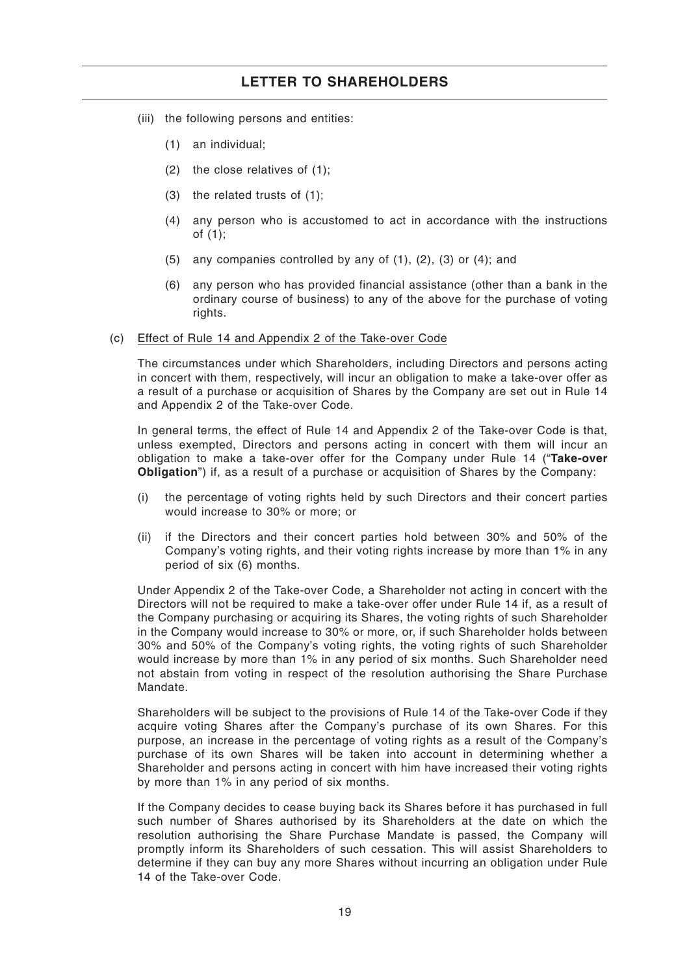- (iii) the following persons and entities:
	- (1) an individual;
	- (2) the close relatives of (1);
	- (3) the related trusts of (1);
	- (4) any person who is accustomed to act in accordance with the instructions of (1);
	- (5) any companies controlled by any of (1), (2), (3) or (4); and
	- (6) any person who has provided financial assistance (other than a bank in the ordinary course of business) to any of the above for the purchase of voting rights.

#### (c) Effect of Rule 14 and Appendix 2 of the Take-over Code

The circumstances under which Shareholders, including Directors and persons acting in concert with them, respectively, will incur an obligation to make a take-over offer as a result of a purchase or acquisition of Shares by the Company are set out in Rule 14 and Appendix 2 of the Take-over Code.

In general terms, the effect of Rule 14 and Appendix 2 of the Take-over Code is that, unless exempted, Directors and persons acting in concert with them will incur an obligation to make a take-over offer for the Company under Rule 14 ("**Take-over Obligation**") if, as a result of a purchase or acquisition of Shares by the Company:

- (i) the percentage of voting rights held by such Directors and their concert parties would increase to 30% or more; or
- (ii) if the Directors and their concert parties hold between 30% and 50% of the Company's voting rights, and their voting rights increase by more than 1% in any period of six (6) months.

Under Appendix 2 of the Take-over Code, a Shareholder not acting in concert with the Directors will not be required to make a take-over offer under Rule 14 if, as a result of the Company purchasing or acquiring its Shares, the voting rights of such Shareholder in the Company would increase to 30% or more, or, if such Shareholder holds between 30% and 50% of the Company's voting rights, the voting rights of such Shareholder would increase by more than 1% in any period of six months. Such Shareholder need not abstain from voting in respect of the resolution authorising the Share Purchase Mandate.

Shareholders will be subject to the provisions of Rule 14 of the Take-over Code if they acquire voting Shares after the Company's purchase of its own Shares. For this purpose, an increase in the percentage of voting rights as a result of the Company's purchase of its own Shares will be taken into account in determining whether a Shareholder and persons acting in concert with him have increased their voting rights by more than 1% in any period of six months.

If the Company decides to cease buying back its Shares before it has purchased in full such number of Shares authorised by its Shareholders at the date on which the resolution authorising the Share Purchase Mandate is passed, the Company will promptly inform its Shareholders of such cessation. This will assist Shareholders to determine if they can buy any more Shares without incurring an obligation under Rule 14 of the Take-over Code.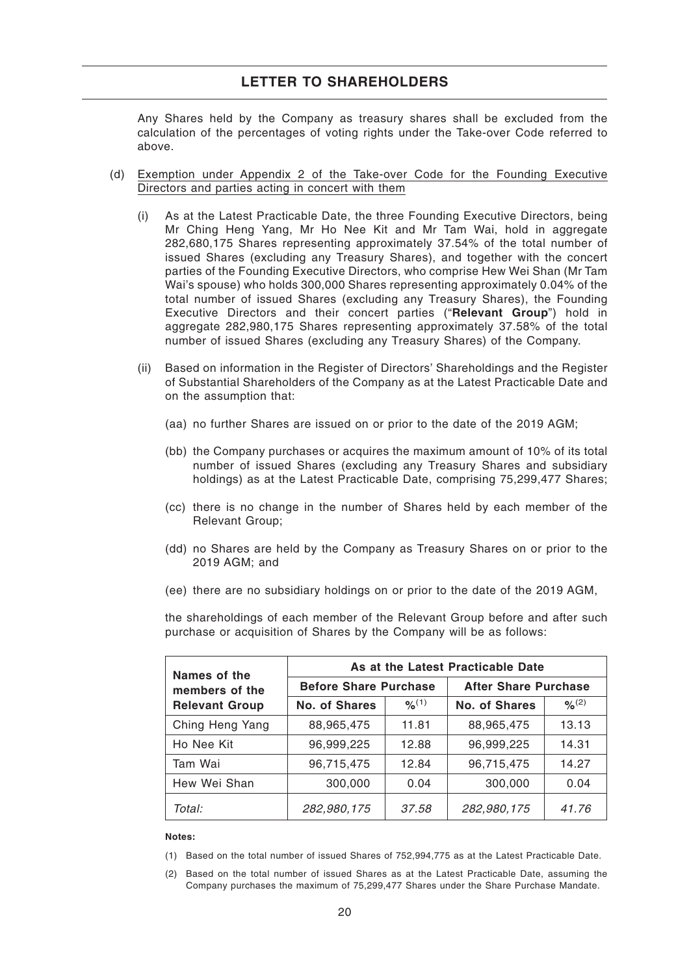Any Shares held by the Company as treasury shares shall be excluded from the calculation of the percentages of voting rights under the Take-over Code referred to above.

- (d) Exemption under Appendix 2 of the Take-over Code for the Founding Executive Directors and parties acting in concert with them
	- (i) As at the Latest Practicable Date, the three Founding Executive Directors, being Mr Ching Heng Yang, Mr Ho Nee Kit and Mr Tam Wai, hold in aggregate 282,680,175 Shares representing approximately 37.54% of the total number of issued Shares (excluding any Treasury Shares), and together with the concert parties of the Founding Executive Directors, who comprise Hew Wei Shan (Mr Tam Wai's spouse) who holds 300,000 Shares representing approximately 0.04% of the total number of issued Shares (excluding any Treasury Shares), the Founding Executive Directors and their concert parties ("**Relevant Group**") hold in aggregate 282,980,175 Shares representing approximately 37.58% of the total number of issued Shares (excluding any Treasury Shares) of the Company.
	- (ii) Based on information in the Register of Directors' Shareholdings and the Register of Substantial Shareholders of the Company as at the Latest Practicable Date and on the assumption that:
		- (aa) no further Shares are issued on or prior to the date of the 2019 AGM;
		- (bb) the Company purchases or acquires the maximum amount of 10% of its total number of issued Shares (excluding any Treasury Shares and subsidiary holdings) as at the Latest Practicable Date, comprising 75,299,477 Shares;
		- (cc) there is no change in the number of Shares held by each member of the Relevant Group;
		- (dd) no Shares are held by the Company as Treasury Shares on or prior to the 2019 AGM; and
		- (ee) there are no subsidiary holdings on or prior to the date of the 2019 AGM,

the shareholdings of each member of the Relevant Group before and after such purchase or acquisition of Shares by the Company will be as follows:

| Names of the          | As at the Latest Practicable Date |             |                             |                      |  |  |
|-----------------------|-----------------------------------|-------------|-----------------------------|----------------------|--|--|
| members of the        | <b>Before Share Purchase</b>      |             | <b>After Share Purchase</b> |                      |  |  |
| <b>Relevant Group</b> | No. of Shares                     | $9/6^{(1)}$ | No. of Shares               | $9/2$ <sup>(2)</sup> |  |  |
| Ching Heng Yang       | 88,965,475                        | 11.81       | 88,965,475                  | 13.13                |  |  |
| Ho Nee Kit            | 96,999,225                        | 12.88       | 96,999,225                  | 14.31                |  |  |
| Tam Wai               | 96,715,475                        | 12.84       | 96,715,475                  | 14.27                |  |  |
| Hew Wei Shan          | 300,000                           | 0.04        | 300,000                     | 0.04                 |  |  |
| Total:                | 282,980,175                       | 37.58       | 282,980,175                 | 41.76                |  |  |

#### **Notes:**

- (1) Based on the total number of issued Shares of 752,994,775 as at the Latest Practicable Date.
- (2) Based on the total number of issued Shares as at the Latest Practicable Date, assuming the Company purchases the maximum of 75,299,477 Shares under the Share Purchase Mandate.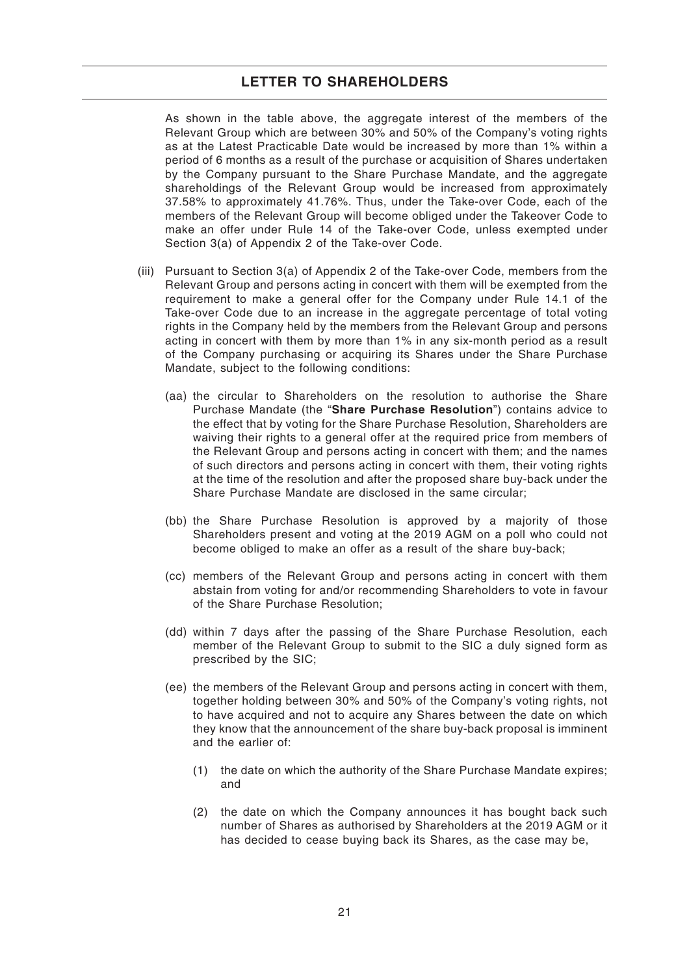As shown in the table above, the aggregate interest of the members of the Relevant Group which are between 30% and 50% of the Company's voting rights as at the Latest Practicable Date would be increased by more than 1% within a period of 6 months as a result of the purchase or acquisition of Shares undertaken by the Company pursuant to the Share Purchase Mandate, and the aggregate shareholdings of the Relevant Group would be increased from approximately 37.58% to approximately 41.76%. Thus, under the Take-over Code, each of the members of the Relevant Group will become obliged under the Takeover Code to make an offer under Rule 14 of the Take-over Code, unless exempted under Section 3(a) of Appendix 2 of the Take-over Code.

- (iii) Pursuant to Section 3(a) of Appendix 2 of the Take-over Code, members from the Relevant Group and persons acting in concert with them will be exempted from the requirement to make a general offer for the Company under Rule 14.1 of the Take-over Code due to an increase in the aggregate percentage of total voting rights in the Company held by the members from the Relevant Group and persons acting in concert with them by more than 1% in any six-month period as a result of the Company purchasing or acquiring its Shares under the Share Purchase Mandate, subject to the following conditions:
	- (aa) the circular to Shareholders on the resolution to authorise the Share Purchase Mandate (the "**Share Purchase Resolution**") contains advice to the effect that by voting for the Share Purchase Resolution, Shareholders are waiving their rights to a general offer at the required price from members of the Relevant Group and persons acting in concert with them; and the names of such directors and persons acting in concert with them, their voting rights at the time of the resolution and after the proposed share buy-back under the Share Purchase Mandate are disclosed in the same circular;
	- (bb) the Share Purchase Resolution is approved by a majority of those Shareholders present and voting at the 2019 AGM on a poll who could not become obliged to make an offer as a result of the share buy-back;
	- (cc) members of the Relevant Group and persons acting in concert with them abstain from voting for and/or recommending Shareholders to vote in favour of the Share Purchase Resolution;
	- (dd) within 7 days after the passing of the Share Purchase Resolution, each member of the Relevant Group to submit to the SIC a duly signed form as prescribed by the SIC;
	- (ee) the members of the Relevant Group and persons acting in concert with them, together holding between 30% and 50% of the Company's voting rights, not to have acquired and not to acquire any Shares between the date on which they know that the announcement of the share buy-back proposal is imminent and the earlier of:
		- (1) the date on which the authority of the Share Purchase Mandate expires; and
		- (2) the date on which the Company announces it has bought back such number of Shares as authorised by Shareholders at the 2019 AGM or it has decided to cease buying back its Shares, as the case may be,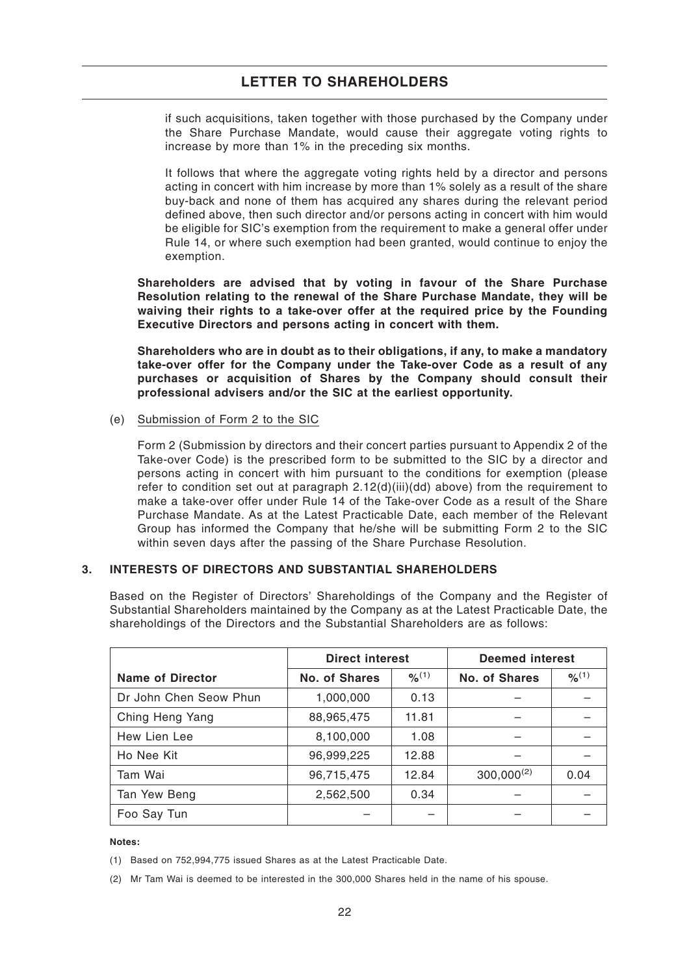if such acquisitions, taken together with those purchased by the Company under the Share Purchase Mandate, would cause their aggregate voting rights to increase by more than 1% in the preceding six months.

It follows that where the aggregate voting rights held by a director and persons acting in concert with him increase by more than 1% solely as a result of the share buy-back and none of them has acquired any shares during the relevant period defined above, then such director and/or persons acting in concert with him would be eligible for SIC's exemption from the requirement to make a general offer under Rule 14, or where such exemption had been granted, would continue to enjoy the exemption.

**Shareholders are advised that by voting in favour of the Share Purchase Resolution relating to the renewal of the Share Purchase Mandate, they will be waiving their rights to a take-over offer at the required price by the Founding Executive Directors and persons acting in concert with them.**

**Shareholders who are in doubt as to their obligations, if any, to make a mandatory take-over offer for the Company under the Take-over Code as a result of any purchases or acquisition of Shares by the Company should consult their professional advisers and/or the SIC at the earliest opportunity.**

(e) Submission of Form 2 to the SIC

Form 2 (Submission by directors and their concert parties pursuant to Appendix 2 of the Take-over Code) is the prescribed form to be submitted to the SIC by a director and persons acting in concert with him pursuant to the conditions for exemption (please refer to condition set out at paragraph 2.12(d)(iii)(dd) above) from the requirement to make a take-over offer under Rule 14 of the Take-over Code as a result of the Share Purchase Mandate. As at the Latest Practicable Date, each member of the Relevant Group has informed the Company that he/she will be submitting Form 2 to the SIC within seven days after the passing of the Share Purchase Resolution.

### **3. INTERESTS OF DIRECTORS AND SUBSTANTIAL SHAREHOLDERS**

Based on the Register of Directors' Shareholdings of the Company and the Register of Substantial Shareholders maintained by the Company as at the Latest Practicable Date, the shareholdings of the Directors and the Substantial Shareholders are as follows:

|                         | <b>Direct interest</b> |                              | <b>Deemed interest</b> |        |  |
|-------------------------|------------------------|------------------------------|------------------------|--------|--|
| <b>Name of Director</b> | No. of Shares          | $\frac{9}{6}$ <sup>(1)</sup> | <b>No. of Shares</b>   | 9/6(1) |  |
| Dr John Chen Seow Phun  | 1,000,000              | 0.13                         |                        |        |  |
| Ching Heng Yang         | 88,965,475             | 11.81                        |                        |        |  |
| Hew Lien Lee            | 8,100,000              | 1.08                         |                        |        |  |
| Ho Nee Kit              | 96,999,225             | 12.88                        |                        |        |  |
| Tam Wai                 | 96,715,475             | 12.84                        | $300,000^{(2)}$        | 0.04   |  |
| Tan Yew Beng            | 2,562,500              | 0.34                         |                        |        |  |
| Foo Say Tun             |                        |                              |                        |        |  |

#### **Notes:**

(1) Based on 752,994,775 issued Shares as at the Latest Practicable Date.

(2) Mr Tam Wai is deemed to be interested in the 300,000 Shares held in the name of his spouse.